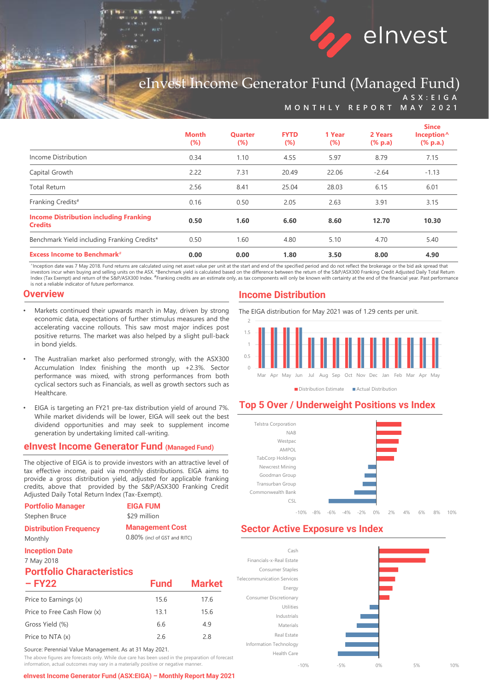

# eInvest Income Generator Fund (Managed Fund) **A S X : E I G A**

**M O N T H L Y R E P O R T M A Y 2 0 2 1**

|                                                                 | <b>Month</b><br>$(\%)$ | <b>Quarter</b><br>$(\%)$ | <b>FYTD</b><br>$(\%)$ | 1 Year<br>$(\%)$ | 2 Years<br>$(% \mathbf{a})$ (% p.a) | <b>Since</b><br>Inception <sup>^</sup><br>$(% \mathbf{a})$ (% p.a.) |
|-----------------------------------------------------------------|------------------------|--------------------------|-----------------------|------------------|-------------------------------------|---------------------------------------------------------------------|
| Income Distribution                                             | 0.34                   | 1.10                     | 4.55                  | 5.97             | 8.79                                | 7.15                                                                |
| Capital Growth                                                  | 2.22                   | 7.31                     | 20.49                 | 22.06            | $-2.64$                             | $-1.13$                                                             |
| <b>Total Return</b>                                             | 2.56                   | 8.41                     | 25.04                 | 28.03            | 6.15                                | 6.01                                                                |
| Franking Credits#                                               | 0.16                   | 0.50                     | 2.05                  | 2.63             | 3.91                                | 3.15                                                                |
| <b>Income Distribution including Franking</b><br><b>Credits</b> | 0.50                   | 1.60                     | 6.60                  | 8.60             | 12.70                               | 10.30                                                               |
| Benchmark Yield including Franking Credits*                     | 0.50                   | 1.60                     | 4.80                  | 5.10             | 4.70                                | 5.40                                                                |
| <b>Excess Income to Benchmark#</b>                              | 0.00                   | 0.00                     | 1.80                  | 3.50             | 8.00                                | 4.90                                                                |

^Inception date was 7 May 2018. Fund returns are calculated using net asset value per unit at the start and end of the specified period and do not reflect the brokerage or the bid ask spread that<br>investors incur when buyin Index (Tax Exempt) and return of the S&P/ASX300 Index. <sup>#</sup>Franking credits are an estimate only, as tax components will only be known with certainty at the end of the financial year. Past performance<br>is not a reliable indi

#### **Overview**

- Markets continued their upwards march in May, driven by strong economic data, expectations of further stimulus measures and the accelerating vaccine rollouts. This saw most major indices post positive returns. The market was also helped by a slight pull-back in bond yields.
- The Australian market also performed strongly, with the ASX300 Accumulation Index finishing the month up +2.3%. Sector performance was mixed, with strong performances from both cyclical sectors such as Financials, as well as growth sectors such as Healthcare.
- EIGA is targeting an FY21 pre-tax distribution yield of around 7%. While market dividends will be lower, EIGA will seek out the best dividend opportunities and may seek to supplement income generation by undertaking limited call-writing.

#### **eInvest Income Generator Fund (Managed Fund)**

The objective of EIGA is to provide investors with an attractive level of tax effective income, paid via monthly distributions. EIGA aims to provide a gross distribution yield, adjusted for applicable franking credits, above that provided by the S&P/ASX300 Franking Credit Adjusted Daily Total Return Index (Tax-Exempt).

| <b>Portfolio Manager</b><br>Stephen Bruce                                         | <b>EIGA FUM</b><br>\$29 million |                                                        |  |  |  |
|-----------------------------------------------------------------------------------|---------------------------------|--------------------------------------------------------|--|--|--|
| <b>Distribution Frequency</b><br>Monthly                                          |                                 | <b>Management Cost</b><br>0.80% (incl of GST and RITC) |  |  |  |
| <b>Inception Date</b><br>7 May 2018<br><b>Portfolio Characteristics</b><br>– FY22 | <b>Fund</b>                     | <b>Market</b>                                          |  |  |  |
| Price to Earnings (x)                                                             | 15.6                            | 17.6                                                   |  |  |  |
| Price to Free Cash Flow (x)                                                       | 13.1                            | 15.6                                                   |  |  |  |
| Gross Yield (%)                                                                   | 6.6                             | 4.9                                                    |  |  |  |

Source: Perennial Value Management. As at 31 May 2021.

The above figures are forecasts only. While due care has been used in the preparation of forecast information, actual outcomes may vary in a materially positive or negative manner.

Price to NTA  $(x)$  2.6 2.8

**eInvest Income Generator Fund (ASX:EIGA) – Monthly Report May 2021** 

### **Income Distribution**

The EIGA distribution for May 2021 was of 1.29 cents per unit.



Distribution Estimate Actual Distribution

## **Top 5 Over / Underweight Positions vs Index**



## **Sector Active Exposure vs Index**